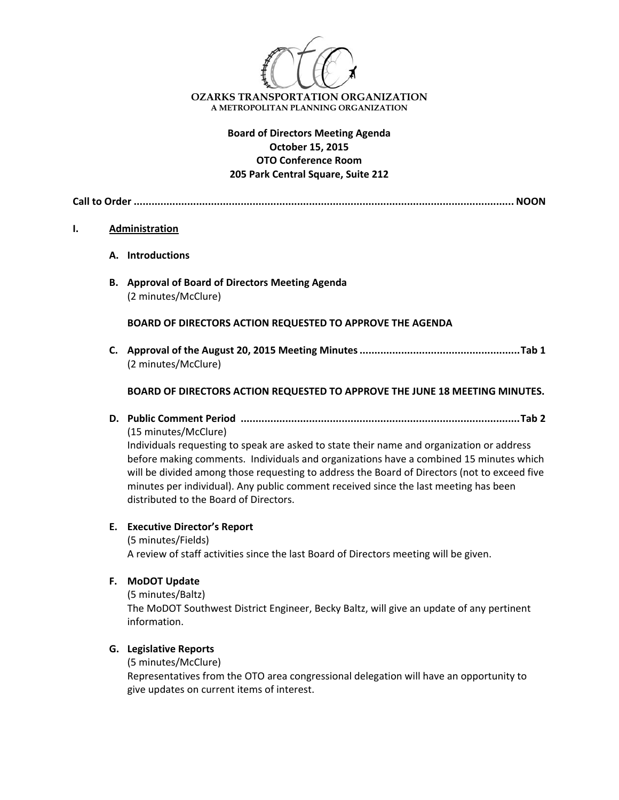

# **Board of Directors Meeting Agenda October 15, 2015 OTO Conference Room 205 Park Central Square, Suite 212**

**Call to Order ................................................................................................................................ NOON**

#### **I. Administration**

- **A. Introductions**
- **B. Approval of Board of Directors Meeting Agenda** (2 minutes/McClure)

**BOARD OF DIRECTORS ACTION REQUESTED TO APPROVE THE AGENDA**

**C. Approval of the August 20, 2015 Meeting Minutes......................................................Tab 1** (2 minutes/McClure)

## **BOARD OF DIRECTORS ACTION REQUESTED TO APPROVE THE JUNE 18 MEETING MINUTES.**

**D. Public Comment Period ..............................................................................................Tab 2** (15 minutes/McClure)

Individuals requesting to speak are asked to state their name and organization or address before making comments. Individuals and organizations have a combined 15 minutes which will be divided among those requesting to address the Board of Directors (not to exceed five minutes per individual). Any public comment received since the last meeting has been distributed to the Board of Directors.

#### **E. Executive Director's Report**

(5 minutes/Fields) A review of staff activities since the last Board of Directors meeting will be given.

**F. MoDOT Update**

(5 minutes/Baltz) The MoDOT Southwest District Engineer, Becky Baltz, will give an update of any pertinent information.

## **G. Legislative Reports**

(5 minutes/McClure)

Representatives from the OTO area congressional delegation will have an opportunity to give updates on current items of interest.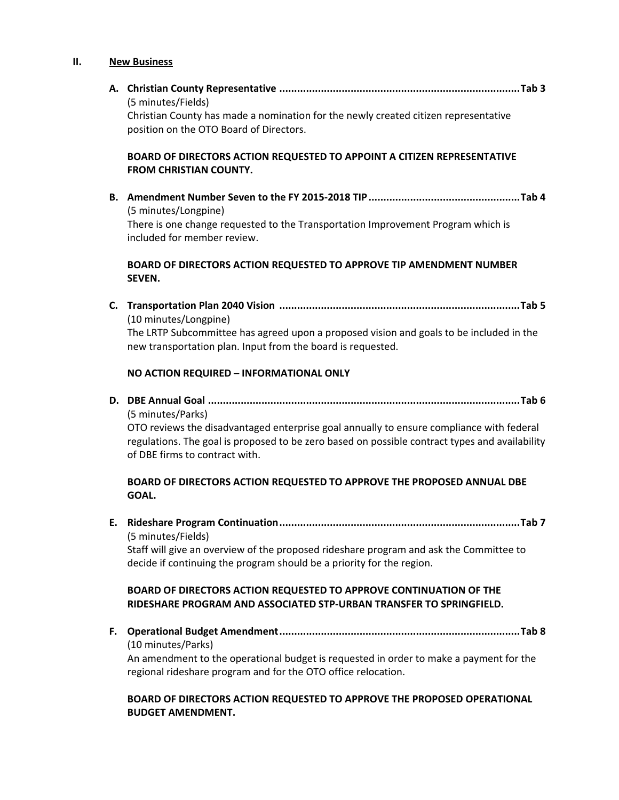#### **II. New Business**

**A. Christian County Representative .................................................................................Tab 3**  (5 minutes/Fields)

Christian County has made a nomination for the newly created citizen representative position on the OTO Board of Directors.

# **BOARD OF DIRECTORS ACTION REQUESTED TO APPOINT A CITIZEN REPRESENTATIVE FROM CHRISTIAN COUNTY.**

**B. Amendment Number Seven to the FY 2015‐2018 TIP...................................................Tab 4** (5 minutes/Longpine) There is one change requested to the Transportation Improvement Program which is included for member review.

## **BOARD OF DIRECTORS ACTION REQUESTED TO APPROVE TIP AMENDMENT NUMBER SEVEN.**

**C. Transportation Plan 2040 Vision .................................................................................Tab 5** (10 minutes/Longpine) The LRTP Subcommittee has agreed upon a proposed vision and goals to be included in the new transportation plan. Input from the board is requested.

## **NO ACTION REQUIRED – INFORMATIONAL ONLY**

**D. DBE Annual Goal .........................................................................................................Tab 6**  (5 minutes/Parks)

OTO reviews the disadvantaged enterprise goal annually to ensure compliance with federal regulations. The goal is proposed to be zero based on possible contract types and availability of DBE firms to contract with.

## **BOARD OF DIRECTORS ACTION REQUESTED TO APPROVE THE PROPOSED ANNUAL DBE GOAL.**

**E. Rideshare Program Continuation.................................................................................Tab 7** (5 minutes/Fields)

Staff will give an overview of the proposed rideshare program and ask the Committee to decide if continuing the program should be a priority for the region.

## **BOARD OF DIRECTORS ACTION REQUESTED TO APPROVE CONTINUATION OF THE RIDESHARE PROGRAM AND ASSOCIATED STP‐URBAN TRANSFER TO SPRINGFIELD.**

**F. Operational Budget Amendment.................................................................................Tab 8**  (10 minutes/Parks)

An amendment to the operational budget is requested in order to make a payment for the regional rideshare program and for the OTO office relocation.

# **BOARD OF DIRECTORS ACTION REQUESTED TO APPROVE THE PROPOSED OPERATIONAL BUDGET AMENDMENT.**